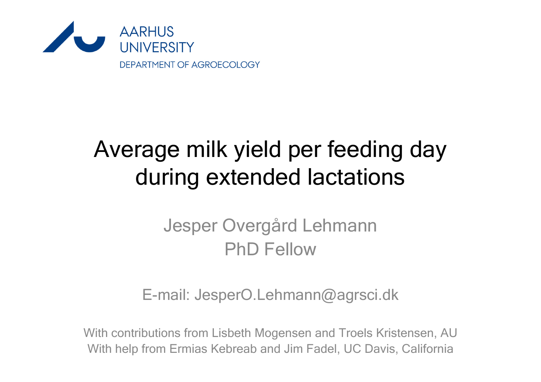

# Average milk yield per feeding day during extended lactations

### Jesper Overgård Lehmann PhD Fellow

#### E-mail: JesperO.Lehmann@agrsci.dk

With contributions from Lisbeth Mogensen and Troels Kristensen, AU With help from Ermias Kebreab and Jim Fadel, UC Davis, California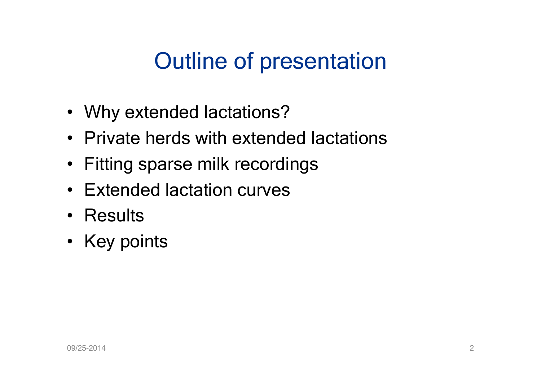# Outline of presentation

- Why extended lactations?
- Private herds with extended lactations
- Fitting sparse milk recordings
- Extended lactation curves
- Results
- Key points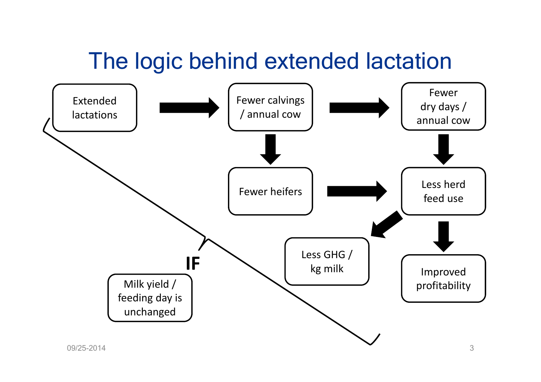## The logic behind extended lactation

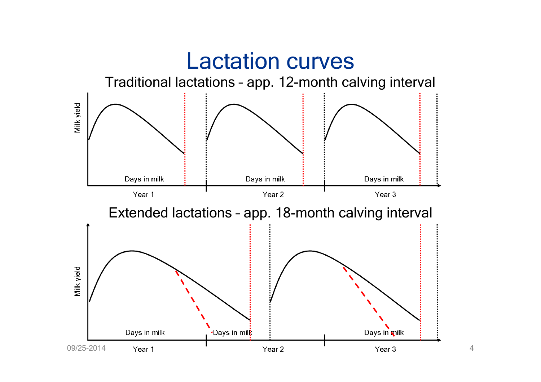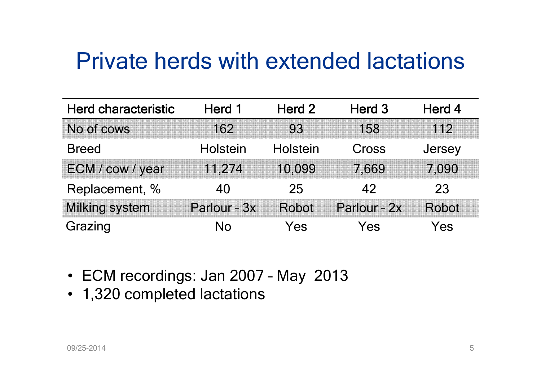### Private herds with extended lactations

| <b>Herd characteristic</b> | Herd 1       | Herd 2   | Herd 3       | Herd 4 |
|----------------------------|--------------|----------|--------------|--------|
| No of cows                 | 162          | 93       | 158          | 112    |
| <b>Breed</b>               | Holstein     | Holstein | Cross        | Jersey |
| ECM / cow / year           | 11,274       | 10,099   | 7.669        | 7.090  |
| Replacement, %             | 40           | 25       | 42           | 23     |
| <b>Milking system</b>      | Parlour - 3x | Robot    | Parlour - 2x | Robot  |
| Grazing                    | N٥           | Yes      | Yes          | Yes    |

- ECM recordings: Jan 2007 May 2013
- 1,320 completed lactations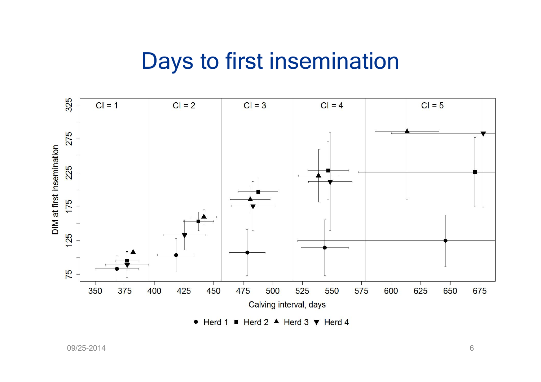### Days to first insemination



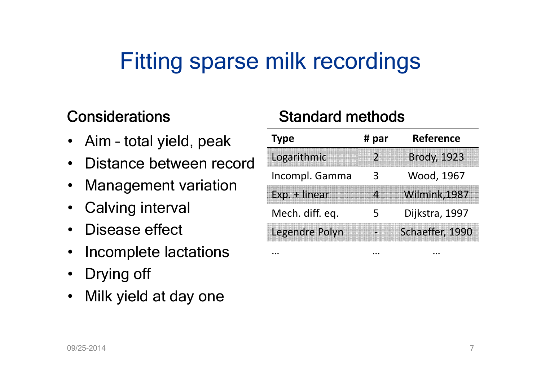## Fitting sparse milk recordings

#### **Considerations**

- Aim total yield, peak
- •Distance between record
- $\bullet$ Management variation
- $\bullet$ Calving interval
- •Disease effect
- $\bullet$ Incomplete lactations
- Drying off
- Milk yield at day one

#### Standard methods

| <b>Type</b>           | # par | <b>Reference</b>   |
|-----------------------|-------|--------------------|
| Logarithmic           |       | <b>Brody, 1923</b> |
| Incompl. Gamma        |       | Wood, 1967         |
| Exp. + linear         |       | Wilmink, 1987      |
| Mech. diff. eq.       |       | Dijkstra, 1997     |
| <b>Legendre Polyn</b> |       | Schaeffer, 1990    |
|                       |       |                    |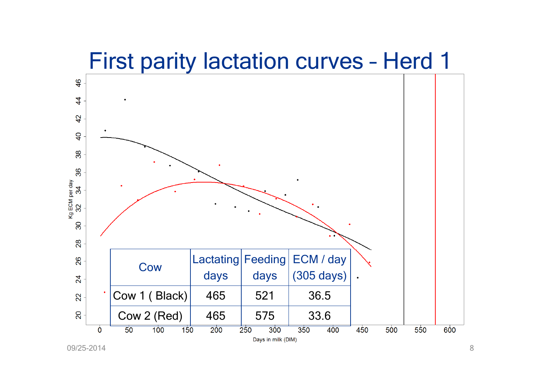### First parity lactation curves – Herd 1



09/25-2014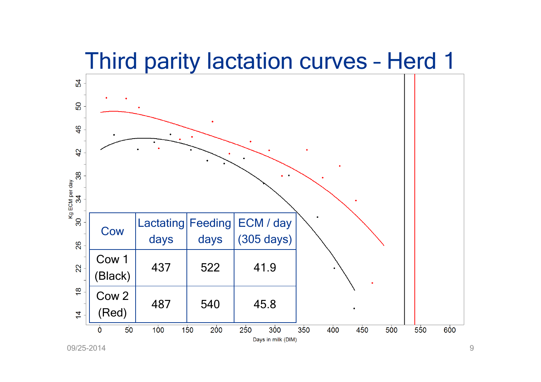### Third parity lactation curves – Herd 1



09/25-2014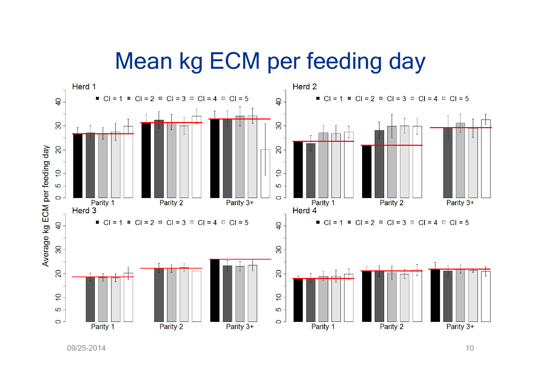### Mean kg ECM per feeding day



09/25-2014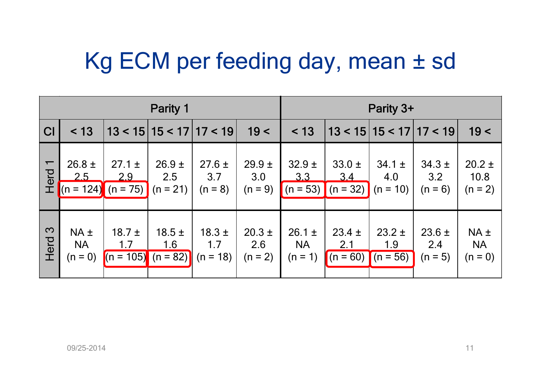## Kg ECM per feeding day, mean ± sd

| Parity 1                  |                                  |                                           |                               | Parity 3+                       |                              |                                      |                                 |                                 |                                |                                  |
|---------------------------|----------------------------------|-------------------------------------------|-------------------------------|---------------------------------|------------------------------|--------------------------------------|---------------------------------|---------------------------------|--------------------------------|----------------------------------|
| CI                        | < 13                             |                                           |                               | $13 < 15$   15 < 17  17 < 19    | 19<                          | < 13                                 |                                 | $13 < 15$   15 < 17  17 < 19    |                                | 19<                              |
| $\blacksquare$<br>Herd    | $26.8 \pm$<br>2.5<br>$(n = 124)$ | $27.1 \pm$<br>2.9<br>$(n = 75)$           | $26.9 +$<br>2.5<br>$(n = 21)$ | $27.6 \pm$<br>3.7<br>$(n = 8)$  | $29.9 +$<br>3.0<br>$(n = 9)$ | $32.9 +$<br>3.3<br>$(n = 53)$        | $33.0 \pm$<br>3.4<br>$(n = 32)$ | $34.1 \pm$<br>4.0<br>$(n = 10)$ | $34.3 \pm$<br>3.2<br>$(n = 6)$ | $20.2 \pm$<br>10.8<br>$(n = 2)$  |
| $\mathbf{\Omega}$<br>Herd | $NA +$<br><b>NA</b><br>$(n = 0)$ | $18.7 \pm$<br>1.7<br>$(n = 105)$ (n = 82) | $18.5 \pm$<br>1.6             | $18.3 \pm$<br>1.7<br>$(n = 18)$ | $20.3 +$<br>2.6<br>$(n = 2)$ | $26.1 \pm$<br><b>NA</b><br>$(n = 1)$ | $23.4 \pm$<br>2.1<br>$(n = 60)$ | $23.2 \pm$<br>1.9<br>$(n = 56)$ | $23.6 \pm$<br>2.4<br>$(n = 5)$ | $NA +$<br><b>NA</b><br>$(n = 0)$ |